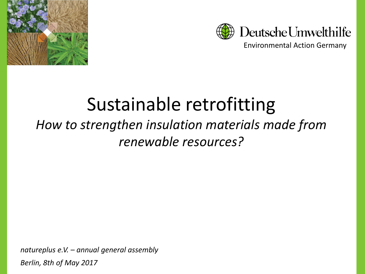



Environmental Action Germany

# Sustainable retrofitting

## *How to strengthen insulation materials made from renewable resources?*

*natureplus e.V. – annual general assembly Berlin, 8th of May 2017*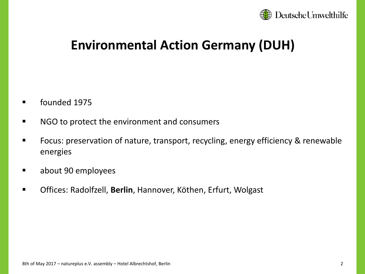

### **Environmental Action Germany (DUH)**

- founded 1975
- NGO to protect the environment and consumers
- Focus: preservation of nature, transport, recycling, energy efficiency & renewable energies
- about 90 employees
- Offices: Radolfzell, **Berlin**, Hannover, Köthen, Erfurt, Wolgast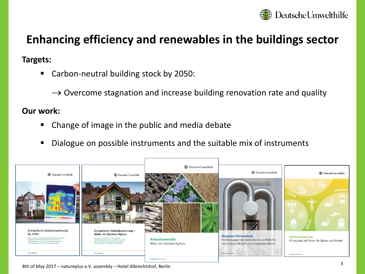

## **Enhancing efficiency and renewables in the buildings sector**

#### **Targets:**

Carbon-neutral building stock by 2050:

 $\rightarrow$  Overcome stagnation and increase building renovation rate and quality

#### **Our work:**

- Change of image in the public and media debate
- Dialogue on possible instruments and the suitable mix of instruments



8th of May 2017 – natureplus e.V. assembly – Hotel Albrechtshof, Berlin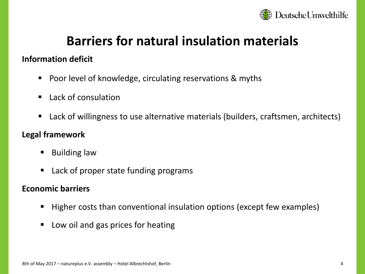

## **Barriers for natural insulation materials**

#### **Information deficit**

- **Poor level of knowledge, circulating reservations & myths**
- Lack of consulation
- Lack of willingness to use alternative materials (builders, craftsmen, architects)

#### **Legal framework**

- Building law
- Lack of proper state funding programs

#### **Economic barriers**

- Higher costs than conventional insulation options (except few examples)
- Low oil and gas prices for heating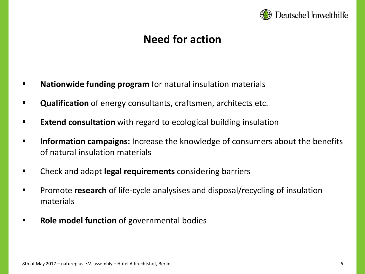

### **Need for action**

- **Nationwide funding program** for natural insulation materials
- **Qualification** of energy consultants, craftsmen, architects etc.
- **Extend consultation** with regard to ecological building insulation
- **EXP** Information campaigns: Increase the knowledge of consumers about the benefits of natural insulation materials
- Check and adapt **legal requirements** considering barriers
- Promote **research** of life-cycle analysises and disposal/recycling of insulation materials
- **Role model function** of governmental bodies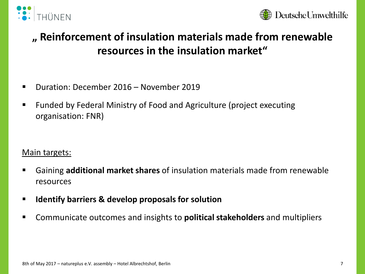



### **" Reinforcement of insulation materials made from renewable resources in the insulation market"**

- Duration: December 2016 November 2019
- Funded by Federal Ministry of Food and Agriculture (project executing organisation: FNR)

Main targets:

- Gaining **additional market shares** of insulation materials made from renewable resources
- **Identify barriers & develop proposals for solution**
- Communicate outcomes and insights to **political stakeholders** and multipliers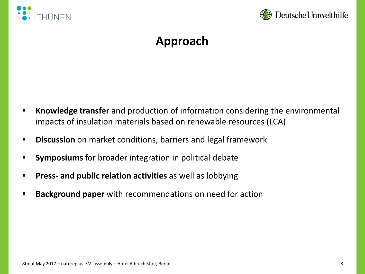



## **Approach**

- **EXTED Knowledge transfer** and production of information considering the environmental impacts of insulation materials based on renewable resources (LCA)
- **Discussion** on market conditions, barriers and legal framework
- **Symposiums** for broader integration in political debate
- **Press- and public relation activities** as well as lobbying
- **Background paper** with recommendations on need for action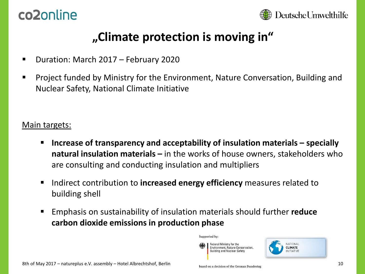## co2online



### **"Climate protection is moving in"**

- Duration: March 2017 February 2020
- Project funded by Ministry for the Environment, Nature Conversation, Building and Nuclear Safety, National Climate Initiative

#### Main targets:

- **Increase of transparency and acceptability of insulation materials – specially natural insulation materials –** in the works of house owners, stakeholders who are consulting and conducting insulation and multipliers
- Indirect contribution to **increased energy efficiency** measures related to building shell
- Emphasis on sustainability of insulation materials should further **reduce carbon dioxide emissions in production phase**

Supported by:

Federal Ministry for the Environment, Nature Conservation, **Building and Nuclear Safety** 

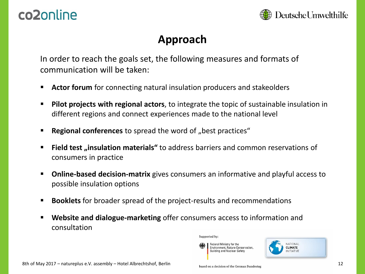## co2online



### **Approach**

In order to reach the goals set, the following measures and formats of communication will be taken:

- **Actor forum** for connecting natural insulation producers and stakeolders
- **Pilot projects with regional actors**, to integrate the topic of sustainable insulation in different regions and connect experiences made to the national level
- **EXERGIONAL COMPLE EXECUTE:** Regional conferences to spread the word of "best practices"
- **EXTERN Field test** "insulation materials" to address barriers and common reservations of consumers in practice
- **Online-based decision-matrix** gives consumers an informative and playful access to possible insulation options
- **Booklets** for broader spread of the project-results and recommendations
- **Website and dialogue-marketing** offer consumers access to information and consultation



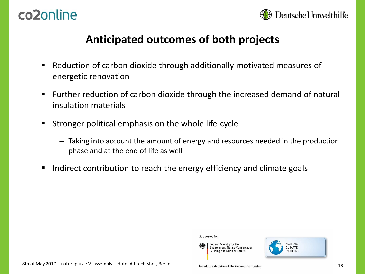



### **Anticipated outcomes of both projects**

- Reduction of carbon dioxide through additionally motivated measures of energetic renovation
- Further reduction of carbon dioxide through the increased demand of natural insulation materials
- Stronger political emphasis on the whole life-cycle
	- Taking into account the amount of energy and resources needed in the production phase and at the end of life as well

Supported by:

■ Indirect contribution to reach the energy efficiency and climate goals





Federal Ministry for the

**Building and Nuclear Safety**